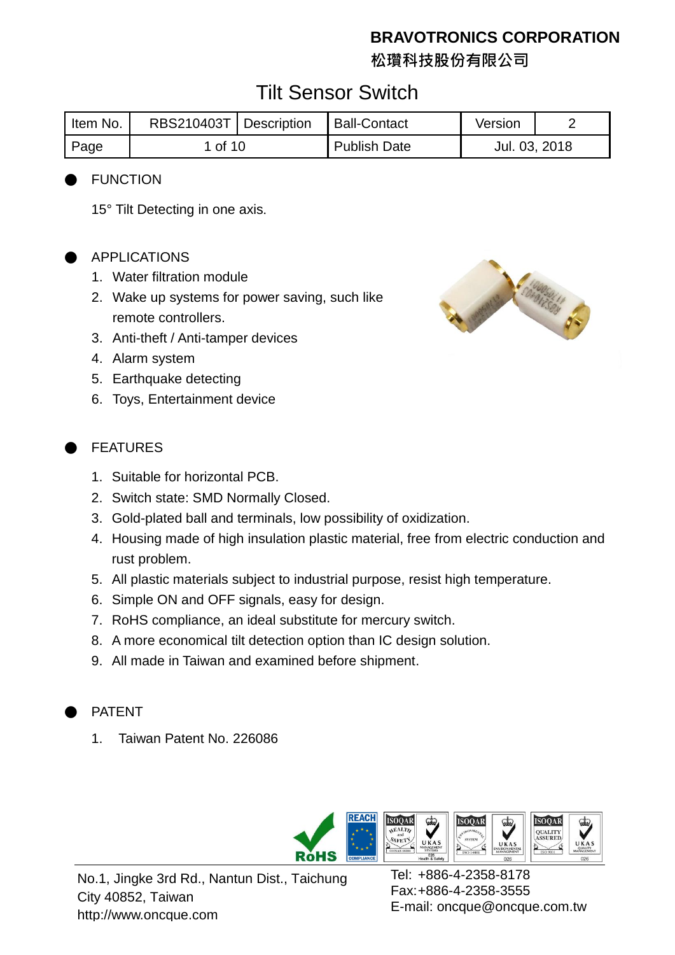**松瓚科技股份有限公司**

## Tilt Sensor Switch

| Item No. | RBS210403T   Description |  | Ball-Contact        | Version       |  |
|----------|--------------------------|--|---------------------|---------------|--|
| Page     | 1 of 10                  |  | <b>Publish Date</b> | Jul. 03, 2018 |  |

#### **FUNCTION**

15° Tilt Detecting in one axis.

#### APPLICATIONS

- 1. Water filtration module
- 2. Wake up systems for power saving, such like remote controllers.
- 3. Anti-theft / Anti-tamper devices
- 4. Alarm system
- 5. Earthquake detecting
- 6. Toys, Entertainment device

#### **FEATURES**

- 1. Suitable for horizontal PCB.
- 2. Switch state: SMD Normally Closed.
- 3. Gold-plated ball and terminals, low possibility of oxidization.
- 4. Housing made of high insulation plastic material, free from electric conduction and rust problem.
- 5. All plastic materials subject to industrial purpose, resist high temperature.
- 6. Simple ON and OFF signals, easy for design.
- 7. RoHS compliance, an ideal substitute for mercury switch.
- 8. A more economical tilt detection option than IC design solution.
- 9. All made in Taiwan and examined before shipment.

#### **PATENT**

1. Taiwan Patent No. 226086



No.1, Jingke 3rd Rd., Nantun Dist., Taichung City 40852, Taiwan http://www.oncque.com

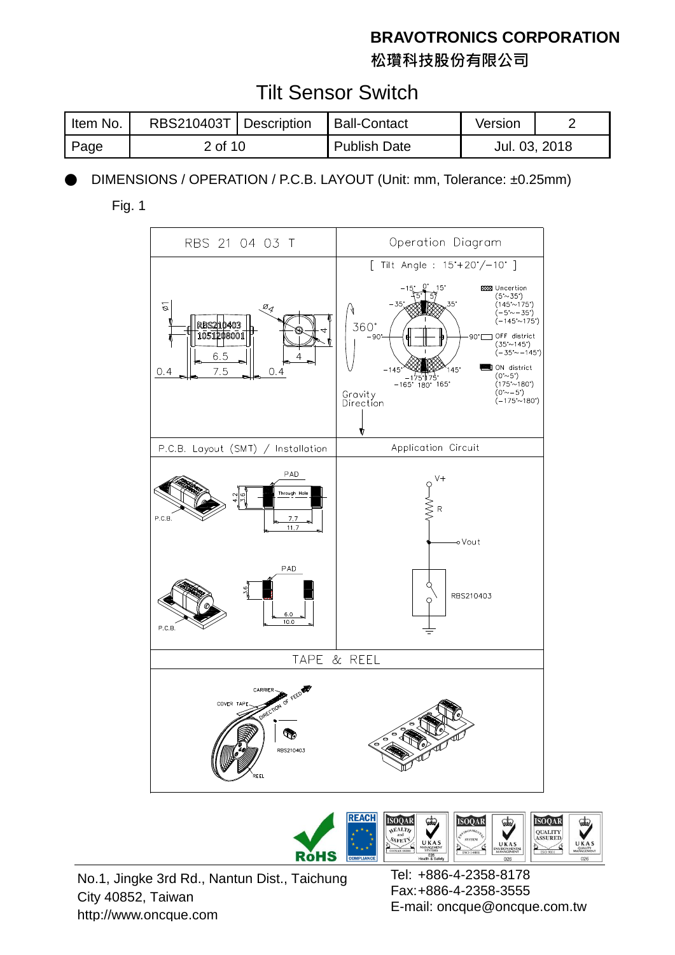**松瓚科技股份有限公司**

## Tilt Sensor Switch

| Item No.    | RBS210403T   Description |  | <b>Ball-Contact</b> | Version       |  |
|-------------|--------------------------|--|---------------------|---------------|--|
| <b>Page</b> | 2 of 10                  |  | <b>Publish Date</b> | Jul. 03, 2018 |  |

DIMENSIONS / OPERATION / P.C.B. LAYOUT (Unit: mm, Tolerance: ±0.25mm)

Fig. 1





No.1, Jingke 3rd Rd., Nantun Dist., Taichung City 40852, Taiwan http://www.oncque.com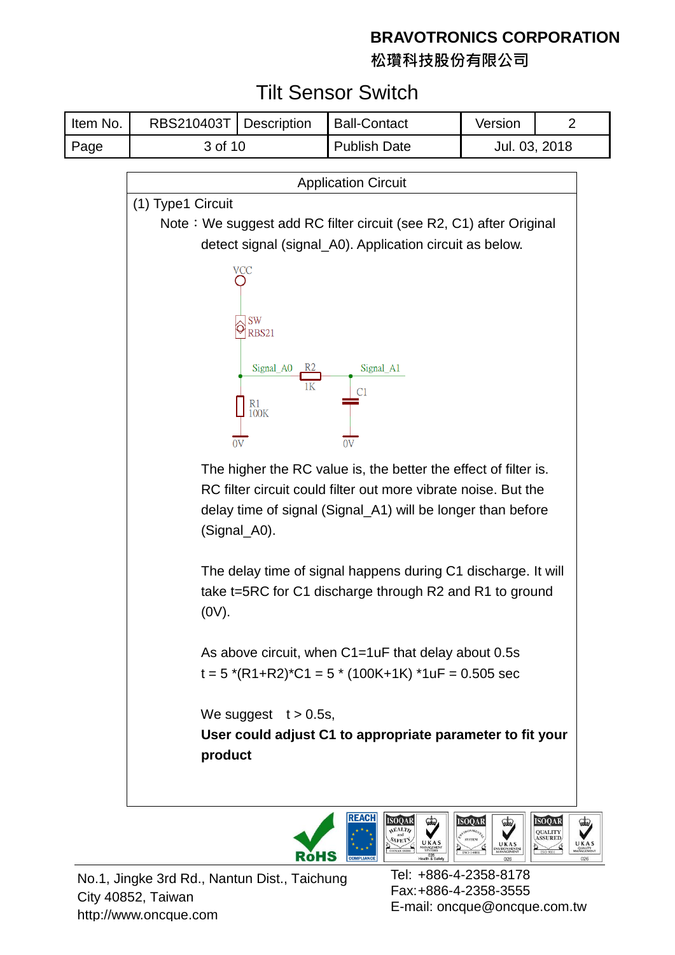**松瓚科技股份有限公司**

## Tilt Sensor Switch

| Item No. | RBS210403T   Description |  | <b>Ball-Contact</b> | Version       |  |
|----------|--------------------------|--|---------------------|---------------|--|
| Page     | 3 of 10                  |  | <b>Publish Date</b> | Jul. 03, 2018 |  |
|          |                          |  |                     |               |  |





No.1, Jingke 3rd Rd., Nantun Dist., Taichung City 40852, Taiwan http://www.oncque.com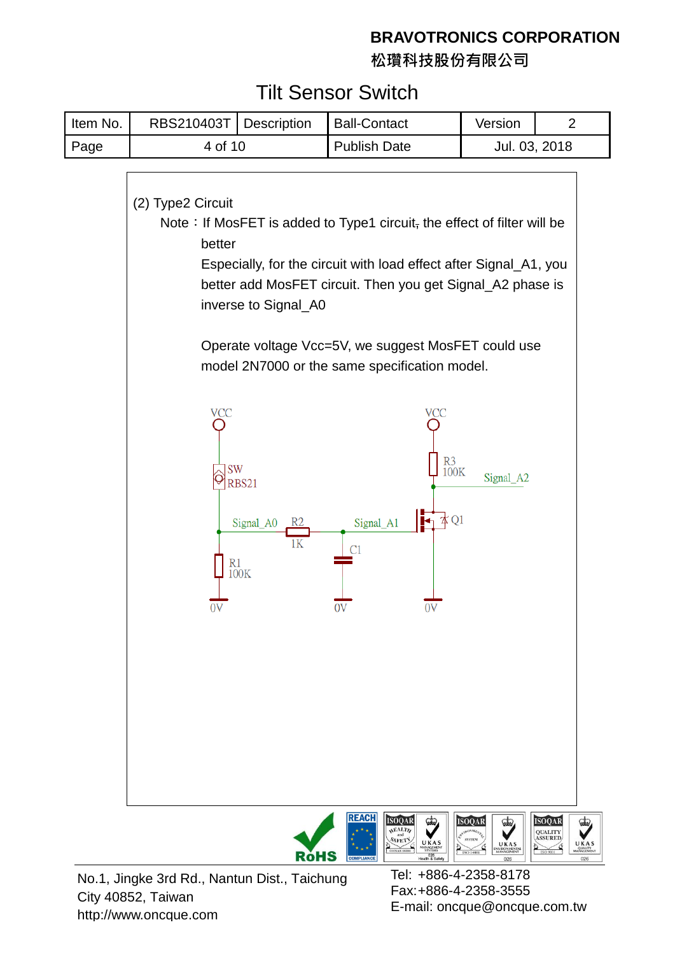**松瓚科技股份有限公司**

## Tilt Sensor Switch



No.1, Jingke 3rd Rd., Nantun Dist., Taichung City 40852, Taiwan http://www.oncque.com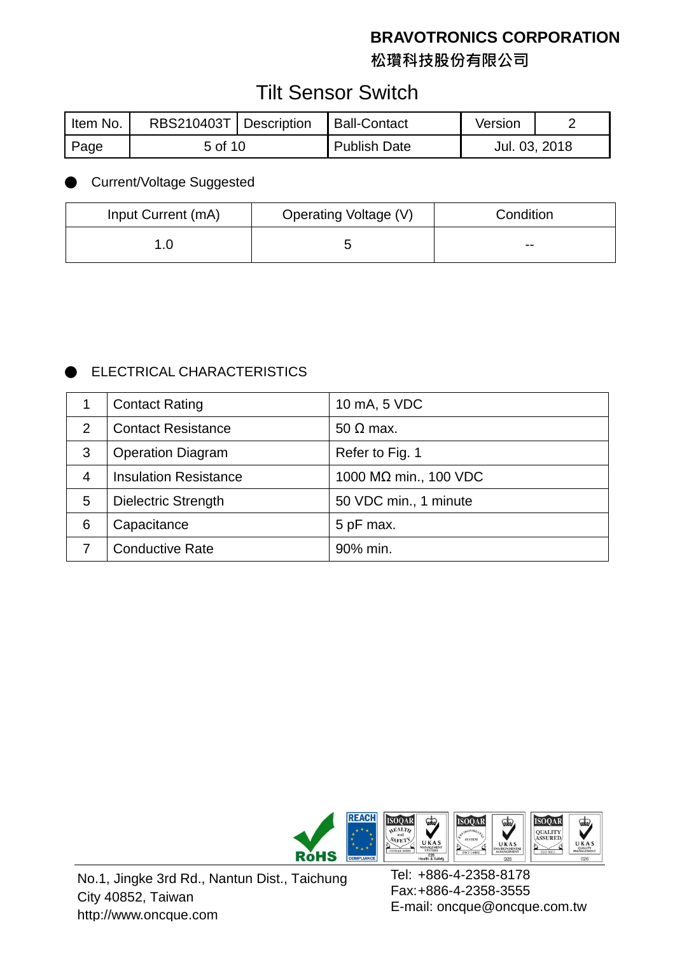**松瓚科技股份有限公司**

## Tilt Sensor Switch

| Item No. | RBS210403T   Description |  | Ball-Contact | Version       |  |
|----------|--------------------------|--|--------------|---------------|--|
| Page     | 5 of 10                  |  | Publish Date | Jul. 03, 2018 |  |

#### **Current/Voltage Suggested**

| Input Current (mA) | Operating Voltage (V) | Condition |
|--------------------|-----------------------|-----------|
|                    |                       | $- -$     |

#### **ELECTRICAL CHARACTERISTICS**

|                | <b>Contact Rating</b>        | 10 mA, 5 VDC          |
|----------------|------------------------------|-----------------------|
| 2              | <b>Contact Resistance</b>    | $50 \Omega$ max.      |
| 3              | <b>Operation Diagram</b>     | Refer to Fig. 1       |
| $\overline{4}$ | <b>Insulation Resistance</b> | 1000 MΩ min., 100 VDC |
| 5              | <b>Dielectric Strength</b>   | 50 VDC min., 1 minute |
| 6              | Capacitance                  | 5 pF max.             |
|                | <b>Conductive Rate</b>       | 90% min.              |



No.1, Jingke 3rd Rd., Nantun Dist., Taichung City 40852, Taiwan http://www.oncque.com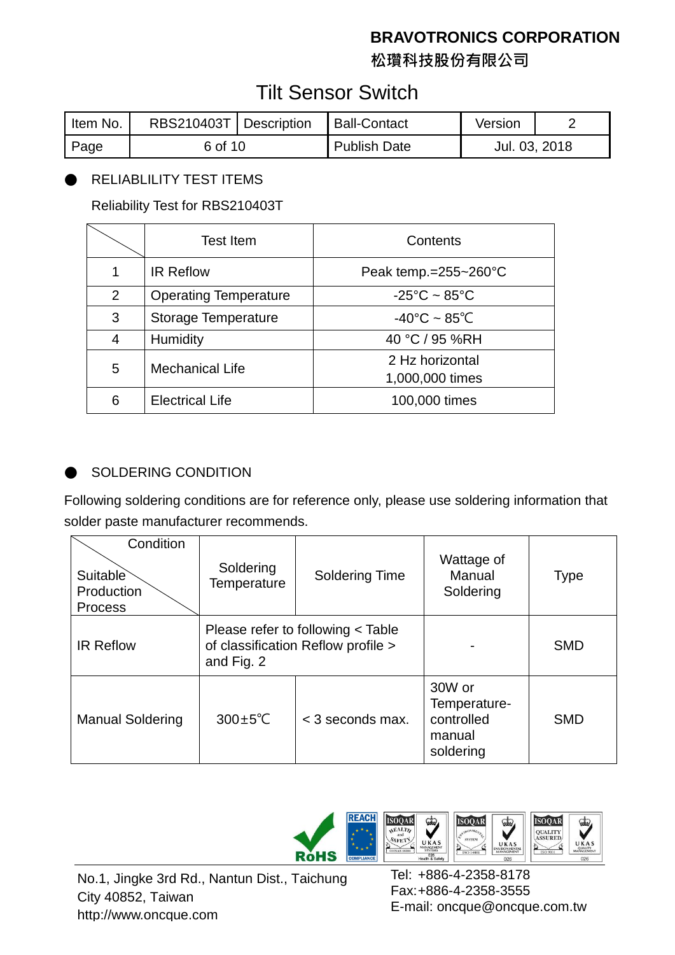**松瓚科技股份有限公司**

## Tilt Sensor Switch

| Item No. | RBS210403T   Description |  | Ball-Contact | Version       |  |
|----------|--------------------------|--|--------------|---------------|--|
| Page     | 6 of 10                  |  | Publish Date | Jul. 03, 2018 |  |

#### RELIABLILITY TEST ITEMS

Reliability Test for RBS210403T

|   | <b>Test Item</b>             | Contents                           |
|---|------------------------------|------------------------------------|
| 1 | <b>IR Reflow</b>             | Peak temp.= $255 - 260^{\circ}$ C  |
| 2 | <b>Operating Temperature</b> | $-25^{\circ}$ C ~ 85 $^{\circ}$ C  |
| 3 | <b>Storage Temperature</b>   | $-40^{\circ}$ C ~ 85 $^{\circ}$ C  |
| 4 | <b>Humidity</b>              | 40 °C / 95 %RH                     |
| 5 | <b>Mechanical Life</b>       | 2 Hz horizontal<br>1,000,000 times |
| 6 | <b>Electrical Life</b>       | 100,000 times                      |

#### SOLDERING CONDITION

Following soldering conditions are for reference only, please use soldering information that solder paste manufacturer recommends.

| Condition<br>Suitable<br>Production<br><b>Process</b> | Soldering<br>Temperature                                                              | <b>Soldering Time</b> | Wattage of<br>Manual<br>Soldering                           | <b>Type</b> |
|-------------------------------------------------------|---------------------------------------------------------------------------------------|-----------------------|-------------------------------------------------------------|-------------|
| <b>IR Reflow</b>                                      | Please refer to following < Table<br>of classification Reflow profile ><br>and Fig. 2 |                       |                                                             | <b>SMD</b>  |
| <b>Manual Soldering</b>                               | $300 \pm 5^{\circ}$ C<br>$<$ 3 seconds max.                                           |                       | 30W or<br>Temperature-<br>controlled<br>manual<br>soldering | <b>SMD</b>  |

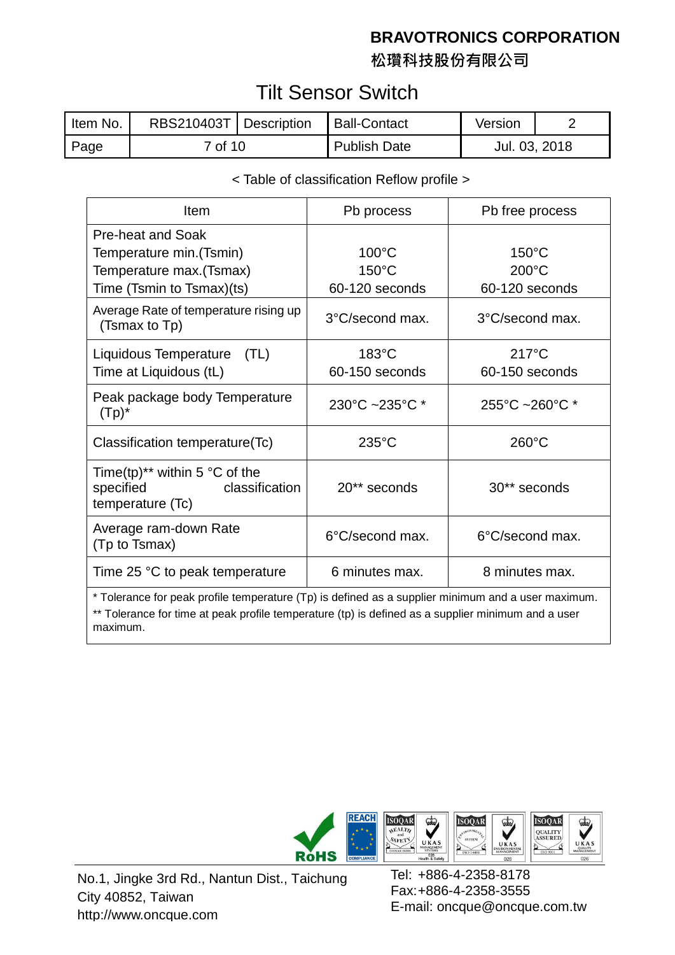**松瓚科技股份有限公司**

## Tilt Sensor Switch

| Item No. | RBS210403T   Description | <b>Ball-Contact</b> | Version       |  |
|----------|--------------------------|---------------------|---------------|--|
| Page     | <u>7 of 10</u>           | <b>Publish Date</b> | Jul. 03, 2018 |  |

#### < Table of classification Reflow profile >

| Item                                                                                                                                                                                                                 | Pb process                                 | Pb free process                                      |  |  |
|----------------------------------------------------------------------------------------------------------------------------------------------------------------------------------------------------------------------|--------------------------------------------|------------------------------------------------------|--|--|
| Pre-heat and Soak<br>Temperature min. (Tsmin)<br>Temperature max. (Tsmax)<br>Time (Tsmin to Tsmax)(ts)                                                                                                               | 100°C<br>$150^{\circ}$ C<br>60-120 seconds | $150^{\circ}$ C<br>$200^{\circ}$ C<br>60-120 seconds |  |  |
| Average Rate of temperature rising up<br>(Tsmax to Tp)                                                                                                                                                               | 3°C/second max.                            | 3°C/second max.                                      |  |  |
| Liquidous Temperature (TL)<br>Time at Liquidous (tL)                                                                                                                                                                 | $183^{\circ}$ C<br>60-150 seconds          | $217^{\circ}$ C<br>60-150 seconds                    |  |  |
| Peak package body Temperature<br>$(Tp)^*$                                                                                                                                                                            | 230°C ~235°C *                             | $255^{\circ}$ C ~260 $^{\circ}$ C *                  |  |  |
| Classification temperature(Tc)                                                                                                                                                                                       | $235^{\circ}$ C                            | $260^{\circ}$ C                                      |  |  |
| Time(tp) <sup>**</sup> within 5 $\degree$ C of the<br>specified<br>classification<br>temperature (Tc)                                                                                                                | 20** seconds                               | 30** seconds                                         |  |  |
| Average ram-down Rate<br>(Tp to Tsmax)                                                                                                                                                                               | 6°C/second max.                            | 6°C/second max.                                      |  |  |
| Time 25 °C to peak temperature                                                                                                                                                                                       | 6 minutes max.                             | 8 minutes max.                                       |  |  |
| * Tolerance for peak profile temperature (Tp) is defined as a supplier minimum and a user maximum.<br>** Tolerance for time at peak profile temperature (tp) is defined as a supplier minimum and a user<br>maximum. |                                            |                                                      |  |  |



No.1, Jingke 3rd Rd., Nantun Dist., Taichung City 40852, Taiwan http://www.oncque.com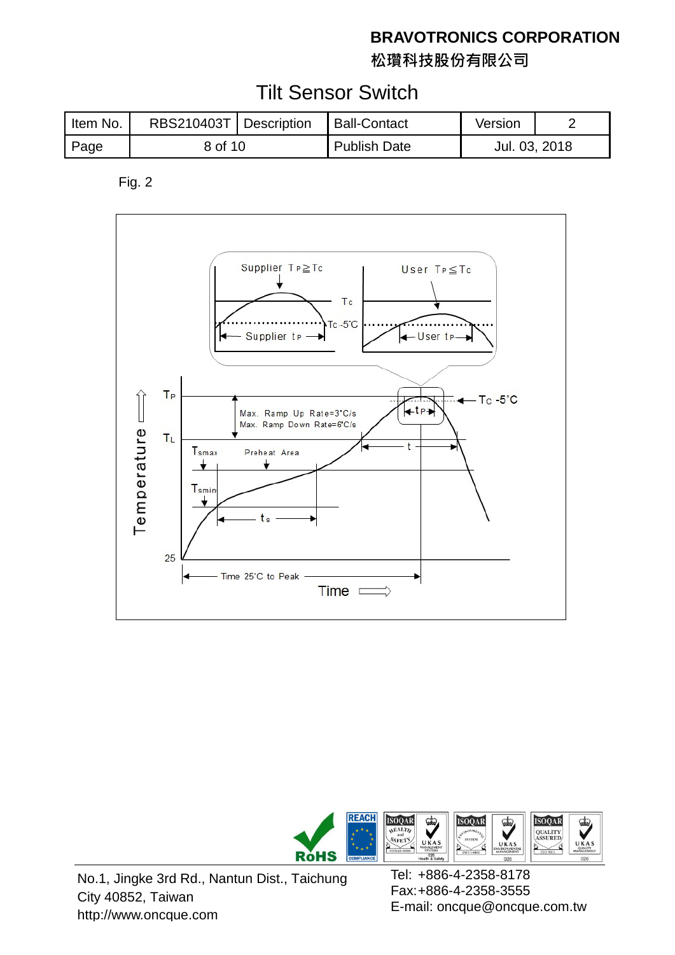**松瓚科技股份有限公司**

## Tilt Sensor Switch

| Item No. | RBS210403T   Description |  | <b>Ball-Contact</b> | Version       |  |
|----------|--------------------------|--|---------------------|---------------|--|
| Page     | 8 of 10                  |  | <b>Publish Date</b> | Jul. 03, 2018 |  |

Fig. 2





No.1, Jingke 3rd Rd., Nantun Dist., Taichung City 40852, Taiwan http://www.oncque.com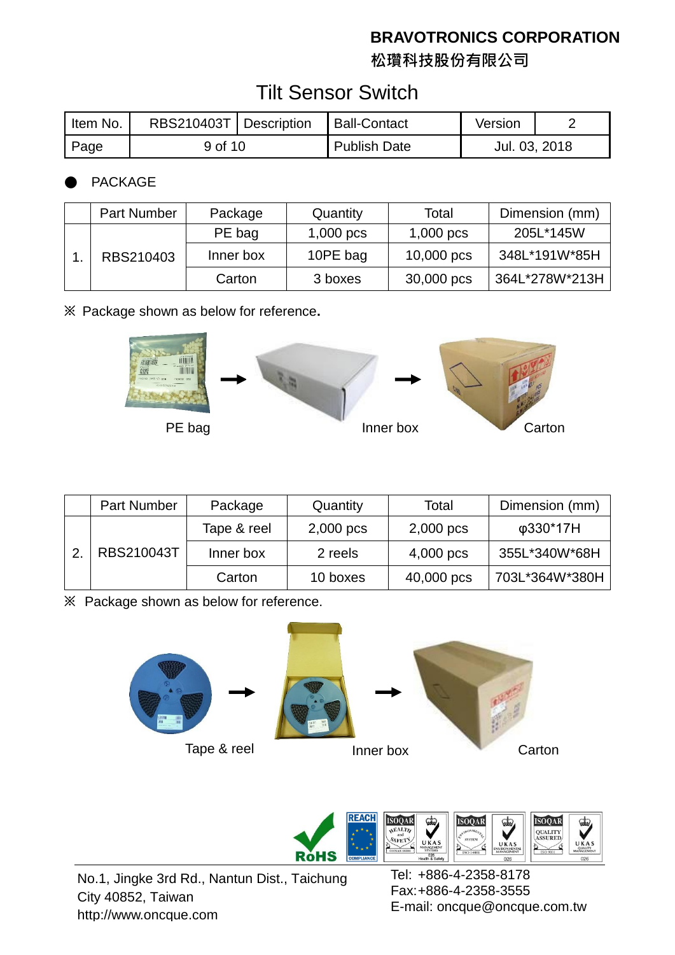**松瓚科技股份有限公司**

## Tilt Sensor Switch

| Item No. | RBS210403T   Description |  | Ball-Contact        | Version       |  |
|----------|--------------------------|--|---------------------|---------------|--|
| Page     | 9 of 10                  |  | <b>Publish Date</b> | Jul. 03, 2018 |  |

#### **PACKAGE**

|  | <b>Part Number</b> | Package   | Quantity    | Total       | Dimension (mm) |
|--|--------------------|-----------|-------------|-------------|----------------|
|  |                    | PE bag    | $1,000$ pcs | $1,000$ pcs | 205L*145W      |
|  | RBS210403          | Inner box | 10PE bag    | 10,000 pcs  | 348L*191W*85H  |
|  |                    | Carton    | 3 boxes     | 30,000 pcs  | 364L*278W*213H |

**※** Package shown as below for reference**.**



|  | Part Number | Package     | Quantity    | Total       | Dimension (mm) |
|--|-------------|-------------|-------------|-------------|----------------|
|  |             | Tape & reel | $2,000$ pcs | $2,000$ pcs | φ330*17H       |
|  | RBS210043T  | Inner box   | 2 reels     | 4,000 pcs   | 355L*340W*68H  |
|  |             | Carton      | 10 boxes    | 40,000 pcs  | 703L*364W*380H |

**※** Package shown as below for reference.





No.1, Jingke 3rd Rd., Nantun Dist., Taichung City 40852, Taiwan http://www.oncque.com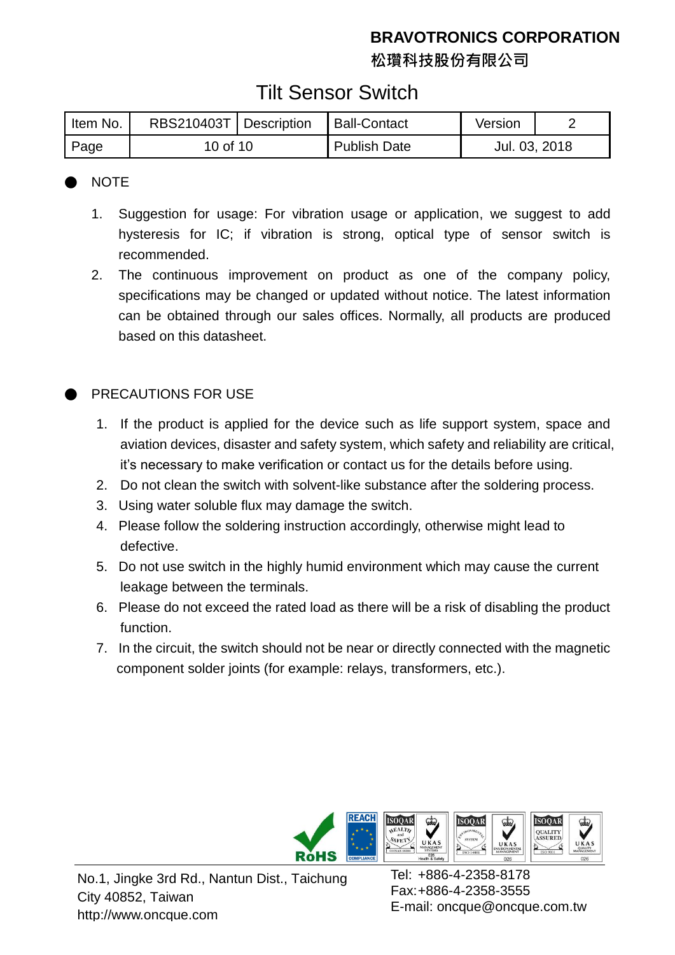**松瓚科技股份有限公司**

## Tilt Sensor Switch

| Item No. | RBS210403T   Description |  | Ball-Contact        | Version       |  |
|----------|--------------------------|--|---------------------|---------------|--|
| Page     | 10 of 10                 |  | <b>Publish Date</b> | Jul. 03, 2018 |  |

#### **NOTE**

- 1. Suggestion for usage: For vibration usage or application, we suggest to add hysteresis for IC; if vibration is strong, optical type of sensor switch is recommended.
- 2. The continuous improvement on product as one of the company policy, specifications may be changed or updated without notice. The latest information can be obtained through our sales offices. Normally, all products are produced based on this datasheet.

#### PRECAUTIONS FOR USE

- 1. If the product is applied for the device such as life support system, space and aviation devices, disaster and safety system, which safety and reliability are critical, it's necessary to make verification or contact us for the details before using.
- 2. Do not clean the switch with solvent-like substance after the soldering process.
- 3. Using water soluble flux may damage the switch.
- 4. Please follow the soldering instruction accordingly, otherwise might lead to defective.
- 5. Do not use switch in the highly humid environment which may cause the current leakage between the terminals.
- 6. Please do not exceed the rated load as there will be a risk of disabling the product function.
- 7. In the circuit, the switch should not be near or directly connected with the magnetic component solder joints (for example: relays, transformers, etc.).